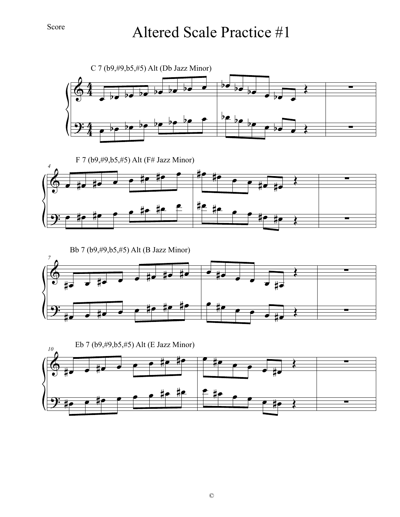## Score

## Altered Scale Practice #1



F 7 (b9,#9,b5,#5) Alt (F# Jazz Minor)



Bb 7 (b9,#9,b5,#5) Alt (B Jazz Minor)



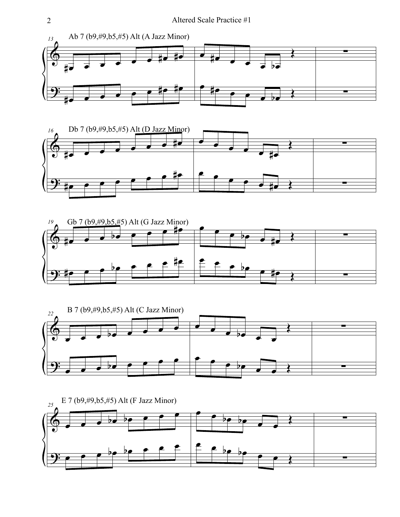